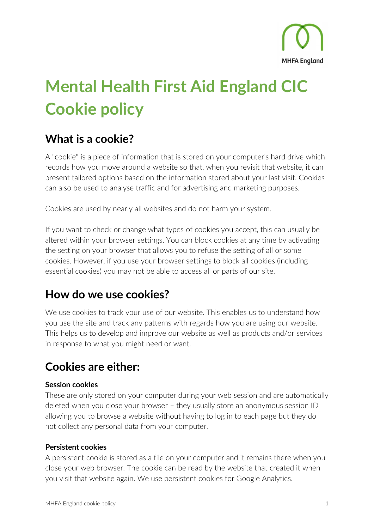

# Mental Health First Aid England CIC Cookie policy

### What is a cookie?

A "cookie" is a piece of information that is stored on your computer's hard drive which records how you move around a website so that, when you revisit that website, it can present tailored options based on the information stored about your last visit. Cookies can also be used to analyse traffic and for advertising and marketing purposes.

Cookies are used by nearly all websites and do not harm your system.

If you want to check or change what types of cookies you accept, this can usually be altered within your browser settings. You can block cookies at any time by activating the setting on your browser that allows you to refuse the setting of all or some cookies. However, if you use your browser settings to block all cookies (including essential cookies) you may not be able to access all or parts of our site.

# How do we use cookies?

We use cookies to track your use of our website. This enables us to understand how you use the site and track any patterns with regards how you are using our website. This helps us to develop and improve our website as well as products and/or services in response to what you might need or want.

### Cookies are either:

#### Session cookies

These are only stored on your computer during your web session and are automatically deleted when you close your browser – they usually store an anonymous session ID allowing you to browse a website without having to log in to each page but they do not collect any personal data from your computer.

#### Persistent cookies

A persistent cookie is stored as a file on your computer and it remains there when you close your web browser. The cookie can be read by the website that created it when you visit that website again. We use persistent cookies for Google Analytics.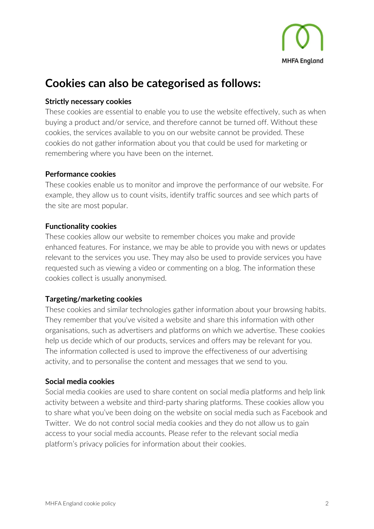

### Cookies can also be categorised as follows:

#### Strictly necessary cookies

These cookies are essential to enable you to use the website effectively, such as when buying a product and/or service, and therefore cannot be turned off. Without these cookies, the services available to you on our website cannot be provided. These cookies do not gather information about you that could be used for marketing or remembering where you have been on the internet.

#### Performance cookies

These cookies enable us to monitor and improve the performance of our website. For example, they allow us to count visits, identify traffic sources and see which parts of the site are most popular.

#### Functionality cookies

These cookies allow our website to remember choices you make and provide enhanced features. For instance, we may be able to provide you with news or updates relevant to the services you use. They may also be used to provide services you have requested such as viewing a video or commenting on a blog. The information these cookies collect is usually anonymised.

#### Targeting/marketing cookies

These cookies and similar technologies gather information about your browsing habits. They remember that you've visited a website and share this information with other organisations, such as advertisers and platforms on which we advertise. These cookies help us decide which of our products, services and offers may be relevant for you. The information collected is used to improve the effectiveness of our advertising activity, and to personalise the content and messages that we send to you.

#### Social media cookies

Social media cookies are used to share content on social media platforms and help link activity between a website and third-party sharing platforms. These cookies allow you to share what you've been doing on the website on social media such as Facebook and Twitter. We do not control social media cookies and they do not allow us to gain access to your social media accounts. Please refer to the relevant social media platform's privacy policies for information about their cookies.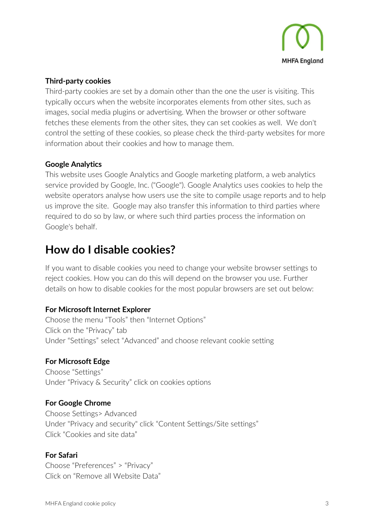

#### Third-party cookies

Third-party cookies are set by a domain other than the one the user is visiting. This typically occurs when the website incorporates elements from other sites, such as images, social media plugins or advertising. When the browser or other software fetches these elements from the other sites, they can set cookies as well. We don't control the setting of these cookies, so please check the third-party websites for more information about their cookies and how to manage them.

#### Google Analytics

This website uses Google Analytics and Google marketing platform, a web analytics service provided by Google, Inc. ("Google"). Google Analytics uses cookies to help the website operators analyse how users use the site to compile usage reports and to help us improve the site. Google may also transfer this information to third parties where required to do so by law, or where such third parties process the information on Google's behalf.

## How do I disable cookies?

If you want to disable cookies you need to change your website browser settings to reject cookies. How you can do this will depend on the browser you use. Further details on how to disable cookies for the most popular browsers are set out below:

#### For Microsoft Internet Explorer

Choose the menu "Tools" then "Internet Options" Click on the "Privacy" tab Under "Settings" select "Advanced" and choose relevant cookie setting

#### For Microsoft Edge

Choose "Settings" Under "Privacy & Security" click on cookies options

#### For Google Chrome

Choose Settings> Advanced Under "Privacy and security" click "Content Settings/Site settings" Click "Cookies and site data"

#### For Safari

Choose "Preferences" > "Privacy" Click on "Remove all Website Data"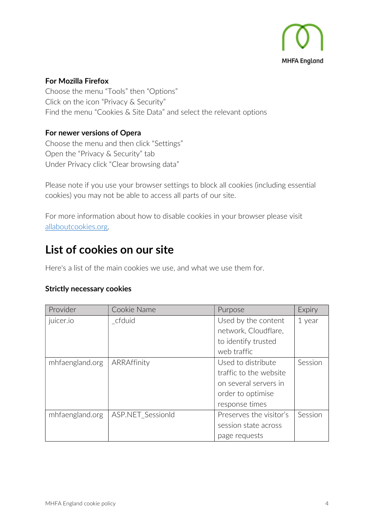

#### For Mozilla Firefox

Choose the menu "Tools" then "Options" Click on the icon "Privacy & Security" Find the menu "Cookies & Site Data" and select the relevant options

#### For newer versions of Opera

Choose the menu and then click "Settings" Open the "Privacy & Security" tab Under Privacy click "Clear browsing data"

Please note if you use your browser settings to block all cookies (including essential cookies) you may not be able to access all parts of our site.

For more information about how to disable cookies in your browser please visit allaboutcookies.org.

### List of cookies on our site

Here's a list of the main cookies we use, and what we use them for.

#### Strictly necessary cookies

| Provider        | Cookie Name              | Purpose                       | Expiry  |
|-----------------|--------------------------|-------------------------------|---------|
| juicer.io       | cfduid                   | Used by the content           | 1 year  |
|                 |                          | network, Cloudflare,          |         |
|                 |                          | to identify trusted           |         |
|                 |                          | web traffic                   |         |
| mhfaengland.org | ARRAffinity              | Session<br>Used to distribute |         |
|                 |                          | traffic to the website        |         |
|                 |                          | on several servers in         |         |
|                 |                          | order to optimise             |         |
|                 |                          | response times                |         |
| mhfaengland.org | <b>ASP.NET SessionId</b> | Preserves the visitor's       | Session |
|                 |                          | session state across          |         |
|                 |                          | page requests                 |         |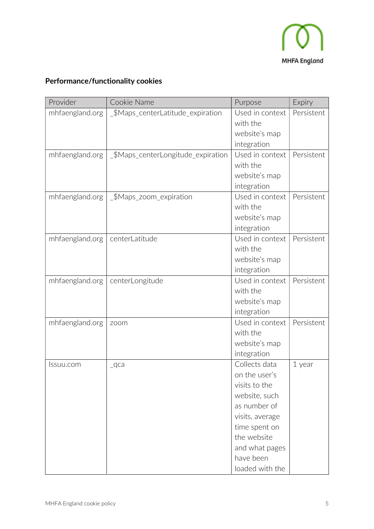

### Performance/functionality cookies

| Provider        | Cookie Name                        | Purpose         | Expiry     |
|-----------------|------------------------------------|-----------------|------------|
| mhfaengland.org | _\$Maps_centerLatitude_expiration  | Used in context | Persistent |
|                 |                                    | with the        |            |
|                 |                                    | website's map   |            |
|                 |                                    | integration     |            |
| mhfaengland.org | _\$Maps_centerLongitude_expiration | Used in context | Persistent |
|                 |                                    | with the        |            |
|                 |                                    | website's map   |            |
|                 |                                    | integration     |            |
| mhfaengland.org | _\$Maps_zoom_expiration            | Used in context | Persistent |
|                 |                                    | with the        |            |
|                 |                                    | website's map   |            |
|                 |                                    | integration     |            |
| mhfaengland.org | centerLatitude                     | Used in context | Persistent |
|                 |                                    | with the        |            |
|                 |                                    | website's map   |            |
|                 |                                    | integration     |            |
| mhfaengland.org | centerLongitude                    | Used in context | Persistent |
|                 |                                    | with the        |            |
|                 |                                    | website's map   |            |
|                 |                                    | integration     |            |
| mhfaengland.org | zoom                               | Used in context | Persistent |
|                 |                                    | with the        |            |
|                 |                                    | website's map   |            |
|                 |                                    | integration     |            |
| Issuu.com       | $_{\text{qca}}$                    | Collects data   | 1 year     |
|                 |                                    | on the user's   |            |
|                 |                                    | visits to the   |            |
|                 |                                    | website, such   |            |
|                 |                                    | as number of    |            |
|                 |                                    | visits, average |            |
|                 |                                    | time spent on   |            |
|                 |                                    | the website     |            |
|                 |                                    | and what pages  |            |
|                 |                                    | have been       |            |
|                 |                                    | loaded with the |            |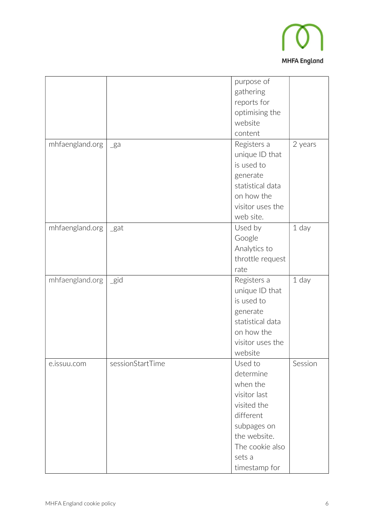

|                 |                  | purpose of       |         |
|-----------------|------------------|------------------|---------|
|                 |                  | gathering        |         |
|                 |                  | reports for      |         |
|                 |                  | optimising the   |         |
|                 |                  | website          |         |
|                 |                  | content          |         |
| mhfaengland.org | $_{\text{g}a}$   | Registers a      | 2 years |
|                 |                  | unique ID that   |         |
|                 |                  | is used to       |         |
|                 |                  | generate         |         |
|                 |                  | statistical data |         |
|                 |                  | on how the       |         |
|                 |                  | visitor uses the |         |
|                 |                  | web site.        |         |
| mhfaengland.org | $\_$ gat         | Used by          | 1 day   |
|                 |                  | Google           |         |
|                 |                  | Analytics to     |         |
|                 |                  | throttle request |         |
|                 |                  | rate             |         |
| mhfaengland.org | $\_gid$          | Registers a      | 1 day   |
|                 |                  | unique ID that   |         |
|                 |                  | is used to       |         |
|                 |                  | generate         |         |
|                 |                  | statistical data |         |
|                 |                  | on how the       |         |
|                 |                  | visitor uses the |         |
|                 |                  | website          |         |
| e.issuu.com     | sessionStartTime | Used to          | Session |
|                 |                  | determine        |         |
|                 |                  | when the         |         |
|                 |                  | visitor last     |         |
|                 |                  | visited the      |         |
|                 |                  | different        |         |
|                 |                  | subpages on      |         |
|                 |                  | the website.     |         |
|                 |                  | The cookie also  |         |
|                 |                  | sets a           |         |
|                 |                  | timestamp for    |         |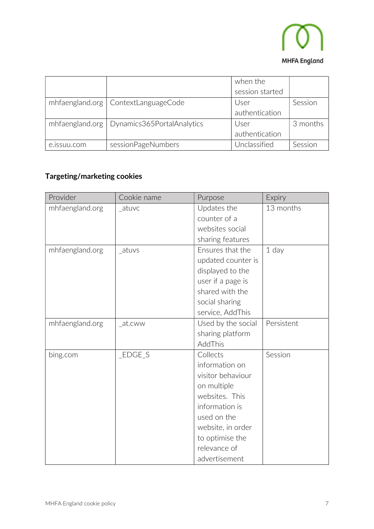

|             |                                              | when the        |          |
|-------------|----------------------------------------------|-----------------|----------|
|             |                                              | session started |          |
|             | mhfaengland.org   ContextLanguageCode        | User            | Session  |
|             |                                              | authentication  |          |
|             | mhfaengland.org   Dynamics365PortalAnalytics | User            | 3 months |
|             |                                              | authentication  |          |
| e.issuu.com | sessionPageNumbers                           | Unclassified    | Session  |

### Targeting/marketing cookies

| Provider        | Cookie name | Purpose            | Expiry     |
|-----------------|-------------|--------------------|------------|
| mhfaengland.org | atuvc       | Updates the        | 13 months  |
|                 |             | counter of a       |            |
|                 |             | websites social    |            |
|                 |             | sharing features   |            |
| mhfaengland.org | atuvs       | Ensures that the   | $1$ day    |
|                 |             | updated counter is |            |
|                 |             | displayed to the   |            |
|                 |             | user if a page is  |            |
|                 |             | shared with the    |            |
|                 |             | social sharing     |            |
|                 |             | service, AddThis   |            |
| mhfaengland.org | at.cww      | Used by the social | Persistent |
|                 |             | sharing platform   |            |
|                 |             | AddThis            |            |
| bing.com        | $_EDGE_S$   | Collects           | Session    |
|                 |             | information on     |            |
|                 |             | visitor behaviour  |            |
|                 |             | on multiple        |            |
|                 |             | websites. This     |            |
|                 |             | information is     |            |
|                 |             | used on the        |            |
|                 |             | website, in order  |            |
|                 |             | to optimise the    |            |
|                 |             | relevance of       |            |
|                 |             | advertisement      |            |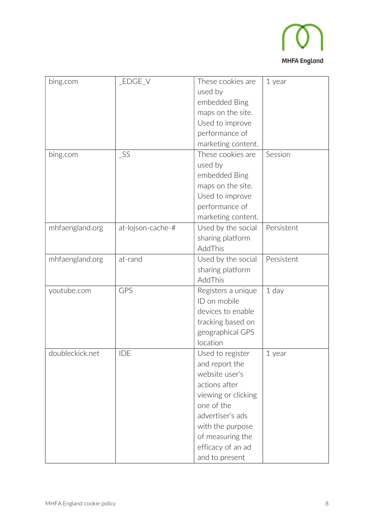

| bing.com        | _EDGE_V           | These cookies are   | 1 year     |
|-----------------|-------------------|---------------------|------------|
|                 |                   | used by             |            |
|                 |                   | embedded Bing       |            |
|                 |                   | maps on the site.   |            |
|                 |                   | Used to improve     |            |
|                 |                   | performance of      |            |
|                 |                   | marketing content.  |            |
| bing.com        | $\_SS$            | These cookies are   | Session    |
|                 |                   | used by             |            |
|                 |                   | embedded Bing       |            |
|                 |                   | maps on the site.   |            |
|                 |                   |                     |            |
|                 |                   | Used to improve     |            |
|                 |                   | performance of      |            |
|                 |                   | marketing content.  |            |
| mhfaengland.org | at-lojson-cache-# | Used by the social  | Persistent |
|                 |                   | sharing platform    |            |
|                 |                   | AddThis             |            |
| mhfaengland.org | at-rand           | Used by the social  | Persistent |
|                 |                   | sharing platform    |            |
|                 |                   | AddThis             |            |
| youtube.com     | GPS               | Registers a unique  | 1 day      |
|                 |                   | ID on mobile        |            |
|                 |                   | devices to enable   |            |
|                 |                   | tracking based on   |            |
|                 |                   | geographical GPS    |            |
|                 |                   | location            |            |
| doubleckick.net | <b>IDE</b>        | Used to register    | 1 year     |
|                 |                   | and report the      |            |
|                 |                   | website user's      |            |
|                 |                   | actions after       |            |
|                 |                   | viewing or clicking |            |
|                 |                   | one of the          |            |
|                 |                   | advertiser's ads    |            |
|                 |                   | with the purpose    |            |
|                 |                   | of measuring the    |            |
|                 |                   | efficacy of an ad   |            |
|                 |                   | and to present      |            |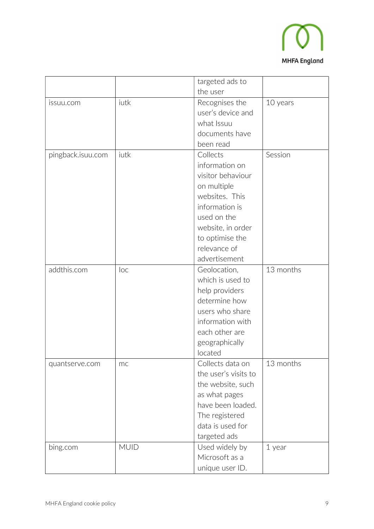

|                   |             | targeted ads to      |           |
|-------------------|-------------|----------------------|-----------|
|                   |             | the user             |           |
| issuu.com         | iutk        | Recognises the       | 10 years  |
|                   |             | user's device and    |           |
|                   |             | what Issuu           |           |
|                   |             | documents have       |           |
|                   |             | been read            |           |
| pingback.isuu.com | iutk        | Collects             | Session   |
|                   |             | information on       |           |
|                   |             | visitor behaviour    |           |
|                   |             | on multiple          |           |
|                   |             | websites. This       |           |
|                   |             | information is       |           |
|                   |             | used on the          |           |
|                   |             | website, in order    |           |
|                   |             | to optimise the      |           |
|                   |             | relevance of         |           |
|                   |             | advertisement        |           |
| addthis.com       | loc         | Geolocation,         | 13 months |
|                   |             | which is used to     |           |
|                   |             | help providers       |           |
|                   |             | determine how        |           |
|                   |             | users who share      |           |
|                   |             | information with     |           |
|                   |             | each other are       |           |
|                   |             | geographically       |           |
|                   |             | located              |           |
| quantserve.com    | mc          | Collects data on     | 13 months |
|                   |             | the user's visits to |           |
|                   |             | the website, such    |           |
|                   |             | as what pages        |           |
|                   |             | have been loaded.    |           |
|                   |             | The registered       |           |
|                   |             | data is used for     |           |
|                   |             | targeted ads         |           |
| bing.com          | <b>MUID</b> | Used widely by       | 1 year    |
|                   |             | Microsoft as a       |           |
|                   |             | unique user ID.      |           |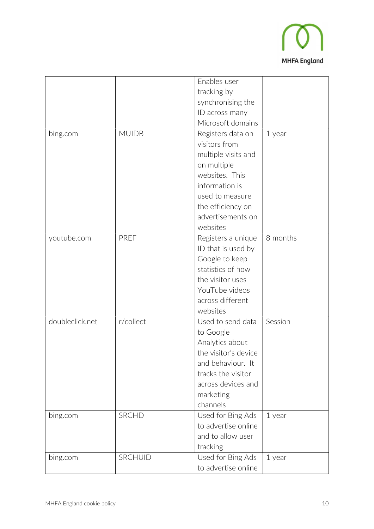

|                 |              | Enables user         |          |
|-----------------|--------------|----------------------|----------|
|                 |              | tracking by          |          |
|                 |              | synchronising the    |          |
|                 |              | ID across many       |          |
|                 |              | Microsoft domains    |          |
| bing.com        | <b>MUIDB</b> | Registers data on    | 1 year   |
|                 |              | visitors from        |          |
|                 |              | multiple visits and  |          |
|                 |              | on multiple          |          |
|                 |              | websites. This       |          |
|                 |              | information is       |          |
|                 |              | used to measure      |          |
|                 |              | the efficiency on    |          |
|                 |              | advertisements on    |          |
|                 |              | websites             |          |
| youtube.com     | PREF         | Registers a unique   | 8 months |
|                 |              | ID that is used by   |          |
|                 |              | Google to keep       |          |
|                 |              | statistics of how    |          |
|                 |              | the visitor uses     |          |
|                 |              | YouTube videos       |          |
|                 |              | across different     |          |
|                 |              | websites             |          |
| doubleclick.net | r/collect    | Used to send data    | Session  |
|                 |              | to Google            |          |
|                 |              | Analytics about      |          |
|                 |              | the visitor's device |          |
|                 |              | and behaviour. It    |          |
|                 |              | tracks the visitor   |          |
|                 |              | across devices and   |          |
|                 |              | marketing            |          |
|                 |              | channels             |          |
| bing.com        | <b>SRCHD</b> | Used for Bing Ads    | 1 year   |
|                 |              | to advertise online  |          |
|                 |              | and to allow user    |          |
|                 |              | tracking             |          |
| bing.com        | SRCHUID      | Used for Bing Ads    | 1 year   |
|                 |              | to advertise online  |          |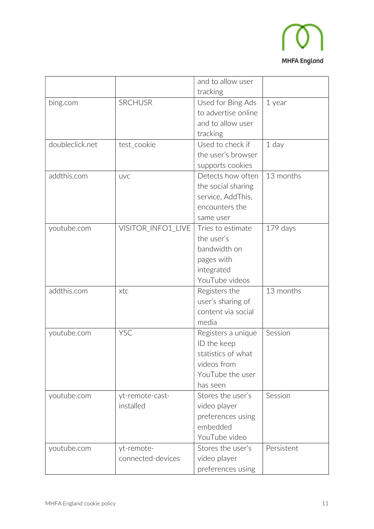

|                 |                    | and to allow user   |            |
|-----------------|--------------------|---------------------|------------|
|                 |                    | tracking            |            |
| bing.com        | <b>SRCHUSR</b>     | Used for Bing Ads   | 1 year     |
|                 |                    | to advertise online |            |
|                 |                    | and to allow user   |            |
|                 |                    | tracking            |            |
| doubleclick.net | test_cookie        | Used to check if    | 1 day      |
|                 |                    | the user's browser  |            |
|                 |                    | supports cookies    |            |
| addthis.com     | <b>UVC</b>         | Detects how often   | 13 months  |
|                 |                    | the social sharing  |            |
|                 |                    | service, AddThis,   |            |
|                 |                    | encounters the      |            |
|                 |                    | same user           |            |
| youtube.com     | VISITOR_INFO1_LIVE | Tries to estimate   | $179$ days |
|                 |                    | the user's          |            |
|                 |                    | bandwidth on        |            |
|                 |                    | pages with          |            |
|                 |                    | integrated          |            |
|                 |                    | YouTube videos      |            |
| addthis.com     | xtc                | Registers the       | 13 months  |
|                 |                    | user's sharing of   |            |
|                 |                    | content via social  |            |
|                 |                    | media               |            |
| youtube.com     | <b>YSC</b>         | Registers a unique  | Session    |
|                 |                    | ID the keep         |            |
|                 |                    | statistics of what  |            |
|                 |                    | videos from         |            |
|                 |                    | YouTube the user    |            |
|                 |                    | has seen            |            |
| youtube.com     | yt-remote-cast-    | Stores the user's   | Session    |
|                 | installed          | video player        |            |
|                 |                    | preferences using   |            |
|                 |                    | embedded            |            |
|                 |                    | YouTube video       |            |
| youtube.com     | yt-remote-         | Stores the user's   | Persistent |
|                 | connected-devices  | video player        |            |
|                 |                    | preferences using   |            |